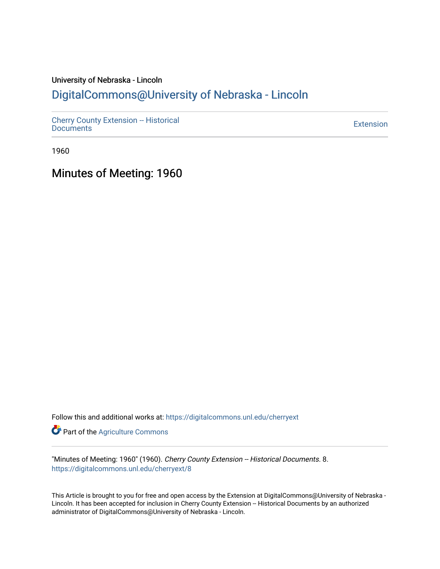# University of Nebraska - Lincoln [DigitalCommons@University of Nebraska - Lincoln](https://digitalcommons.unl.edu/)

[Cherry County Extension -- Historical](https://digitalcommons.unl.edu/cherryext)  [Documents](https://digitalcommons.unl.edu/cherryext) [Extension](https://digitalcommons.unl.edu/coop_extension) 

1960

Minutes of Meeting: 1960

Follow this and additional works at: [https://digitalcommons.unl.edu/cherryext](https://digitalcommons.unl.edu/cherryext?utm_source=digitalcommons.unl.edu%2Fcherryext%2F8&utm_medium=PDF&utm_campaign=PDFCoverPages) 

**Part of the [Agriculture Commons](http://network.bepress.com/hgg/discipline/1076?utm_source=digitalcommons.unl.edu%2Fcherryext%2F8&utm_medium=PDF&utm_campaign=PDFCoverPages)** 

"Minutes of Meeting: 1960" (1960). Cherry County Extension -- Historical Documents. 8. [https://digitalcommons.unl.edu/cherryext/8](https://digitalcommons.unl.edu/cherryext/8?utm_source=digitalcommons.unl.edu%2Fcherryext%2F8&utm_medium=PDF&utm_campaign=PDFCoverPages) 

This Article is brought to you for free and open access by the Extension at DigitalCommons@University of Nebraska - Lincoln. It has been accepted for inclusion in Cherry County Extension -- Historical Documents by an authorized administrator of DigitalCommons@University of Nebraska - Lincoln.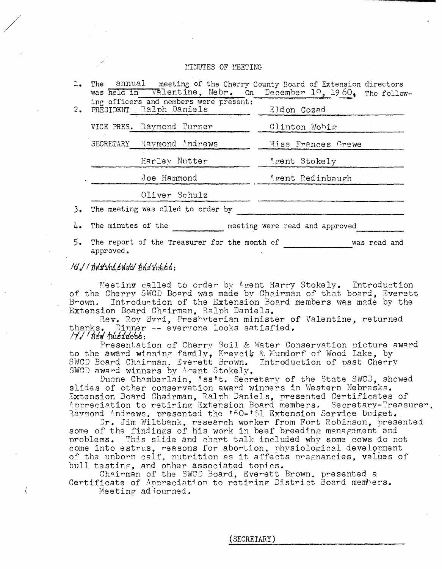|    | 1. The annual meeting of the Cherry County Board of Extension directors<br>was held in Valentine, Nebr. on December 19, 1960, The follow- |                                |
|----|-------------------------------------------------------------------------------------------------------------------------------------------|--------------------------------|
| 2. | ing officers and members were present:<br>PRESIDENT Ralph Daniels                                                                         | Eldon Cozad                    |
|    | VICE PRES. Raymond Turner                                                                                                                 | Clinton Wohig                  |
|    | SECRETARY Raymond Andrews                                                                                                                 | Miss Frances Grewe             |
|    | Harley Nutter                                                                                                                             | Agent Stokely                  |
|    | Joe Hammond                                                                                                                               | Agent Redinbaugh               |
|    | Oliver Schulz                                                                                                                             |                                |
| 3. | The meeting was clled to order by                                                                                                         |                                |
| ц٠ | The minutes of the                                                                                                                        | meeting were read and approved |

5. The report of the Treasurer for the month of was read and approved.

### 16/11 ndpind sudd the iness.

Meeting called to order by Agent Harry Stokely. Introduction of the Cherry SWCD Board was made by Chairman of that board, Everett Brown. Introduction of the Extension Board members was made by the Extension Board Chairman, Ralph Daniels.

Rev. Roy Byrd, Presbyterian minister of Valentine, returned thanks. Dinner -- everyone looks satisfied.<br>/7//*new husiness*:

Presentation of Cherry Soil & Water Conservation picture award to the award winning family, Kreycik & Mundorf of Wood Lake, by SWCD Board Chairman. Everett Brown. Introduction of past Cherry SWCD award winners by Agent Stokely.

Duane Chamberlain, Ass't. Secretary of the State SWCD, showed slides of other conservation award winners in Western Nebraska. Extension Board Chairman, Ralph Daniels, presented Certificates of Appreciation to retiring Extension Board members. Secretary-Treasurer, Raymond Andrews, presented the '60-'61 Extension Service budget.

Dr. Jim Wiltbank. research worker from Fort Robinson. presented some of the findings of his work in beef breeding management and problems. This slide and chart talk included why some cows do not come into estrus, reasons for abortion, physiological development of the unborn calf, nutrition as it affects pregnancies, values of bull testing, and other associated topics.

Chairman of the SWCD Board. Everett Brown. presented a Certificate of Appreciation to retiring District Board members. Meeting adjourned.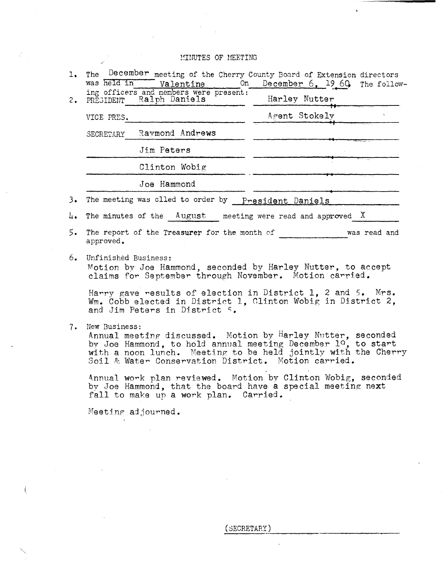| ı. | The December meeting of the Cherry County Board of Extension directors<br>was held in<br>On                                                                                                                                                                          |                                                |              |
|----|----------------------------------------------------------------------------------------------------------------------------------------------------------------------------------------------------------------------------------------------------------------------|------------------------------------------------|--------------|
| 2. | Valentine<br>ing officers and members were present:<br>Ralph Daniels<br>PRESIDENT                                                                                                                                                                                    | December 6, 1960, The follow-<br>Harley Nutter |              |
|    | VICE PRES.                                                                                                                                                                                                                                                           | Agent Stokely                                  |              |
|    | Raymond Andrews<br>SECRETARY                                                                                                                                                                                                                                         |                                                |              |
|    | Jim Peters                                                                                                                                                                                                                                                           |                                                |              |
|    | Clinton Wobig                                                                                                                                                                                                                                                        |                                                |              |
|    | Joe Hammond                                                                                                                                                                                                                                                          |                                                |              |
| 3. | The meeting was clled to order by                                                                                                                                                                                                                                    | President Daniels                              |              |
| 4. | The minutes of the August                                                                                                                                                                                                                                            | meeting were read and approved $X$             |              |
| 5. | The report of the Treasurer for the month of<br>approved.                                                                                                                                                                                                            |                                                | was read and |
| 6. | Unfinished Business:<br>Motion by Joe Hammond, seconded by Harley Nutter, to accept<br>claims for September through November. Motion carried.                                                                                                                        |                                                |              |
|    | Harry gave results of election in District 1, 2 and 5. Mrs.<br>Wm. Cobb elected in District 1, Clinton Wobig in District 2,<br>and Jim Peters in District 5.                                                                                                         |                                                |              |
| 7. | New Business:<br>Annual meeting discussed. Motion by Harley Nutter, seconded<br>by Joe Hammond, to hold annual meeting December 19, to start<br>with a noon lunch. Meeting to be held jointly with the Cherry<br>Soil & Water Conservation District. Motion carried. |                                                |              |
|    | Annual work plan reviewed. Motion by Clinton Wobig, seconded<br>by Joe Hammond, that the board have a special meeting next<br>fall to make up a work plan. Carried.                                                                                                  |                                                |              |
|    | Meeting adjourned.                                                                                                                                                                                                                                                   |                                                |              |
|    |                                                                                                                                                                                                                                                                      |                                                |              |
|    |                                                                                                                                                                                                                                                                      |                                                |              |
|    |                                                                                                                                                                                                                                                                      |                                                |              |

 $\left($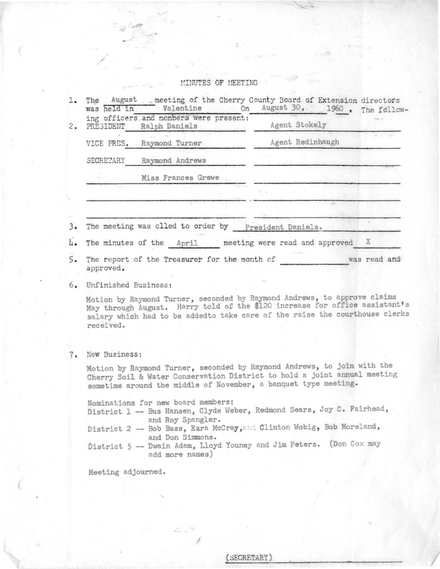- "

/

:

| PRESIDENT            |                                                                                                                                                                                                                                        | ing officers and members were present: |              |              |
|----------------------|----------------------------------------------------------------------------------------------------------------------------------------------------------------------------------------------------------------------------------------|----------------------------------------|--------------|--------------|
|                      | Ralph Daniels                                                                                                                                                                                                                          | Agent Stokely                          |              |              |
|                      |                                                                                                                                                                                                                                        | Agent Redinbaugh                       |              |              |
| VICE PRES.           | Raymond Turner                                                                                                                                                                                                                         |                                        |              |              |
| SECRETARY            | Raymond Andrews                                                                                                                                                                                                                        |                                        |              |              |
|                      | Miss Frances Grewe                                                                                                                                                                                                                     |                                        |              |              |
|                      |                                                                                                                                                                                                                                        |                                        |              |              |
|                      |                                                                                                                                                                                                                                        |                                        |              |              |
|                      | The meeting was clled to order by                                                                                                                                                                                                      | President Daniels.                     |              |              |
|                      | The minutes of the April                                                                                                                                                                                                               | meeting were read and approved         |              | X            |
| approved.            | The report of the Treasurer for the month of                                                                                                                                                                                           |                                        |              | was read and |
| Unfinished Business: |                                                                                                                                                                                                                                        |                                        |              |              |
| received.            | Motion by Raymond Turner, seconded by Raymond Andrews, to approve claims<br>May through August. Harry told of the \$120 increase for office assistant's<br>salary which had to be addedto take care of the raise the courthouse clerks |                                        |              |              |
|                      |                                                                                                                                                                                                                                        |                                        |              |              |
|                      |                                                                                                                                                                                                                                        |                                        |              |              |
| New Business:        |                                                                                                                                                                                                                                        |                                        |              |              |
|                      | Motion by Raymond Turner, seconded by Raymond Andrews, to join with the<br>Cherry Soil & Water Conservation District to hold a joint annual meeting<br>sometime around the middle of November, a banquet type meeting.                 |                                        |              |              |
|                      | Nominations for new board members:<br>District 1 -- Bus Hansen, Clyde Weber, Redmond Sears, Joy C. Fairhead,<br>and Roy Spangler.                                                                                                      |                                        |              |              |
|                      | District 2 -- Bob Bass, Ezra McCray, and Clinton Wobig, Bob Moreland,                                                                                                                                                                  |                                        |              |              |
|                      |                                                                                                                                                                                                                                        |                                        |              |              |
|                      | and Don Simmons.<br>District 5 -- Dwain Adam, Lloyd Youney and Jim Peters.<br>add more names)                                                                                                                                          |                                        | (Don Cox may |              |

/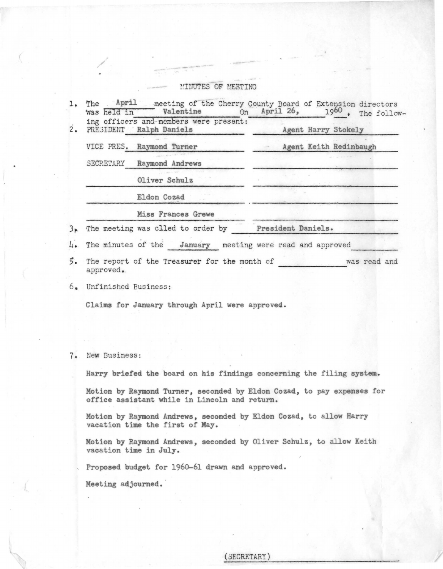/ **----\_ ... -** -- -

| ing officers and members were present:<br>PRESIDENT Ralph Daniels | 1960, The follow-<br>Agent Harry Stokely |
|-------------------------------------------------------------------|------------------------------------------|
| VICE PRES. Raymond Turner                                         | Agent Keith Redinbaugh                   |
| SECRETARY Raymond Andrews                                         |                                          |
| Oliver Schulz                                                     |                                          |
| Eldon Cozad                                                       |                                          |
| Miss Frances Grewe                                                |                                          |
| The meeting was clled to order by                                 | President Daniels.                       |
| 4. The minutes of the January meeting were read and approved      |                                          |

6. Unfinished Business:

Claims for January through April were approve4.

7. New Business:

Harry briefed the board on his findings concerning the filing system.

Motion by Raymond Turner, seconded by Eldon Cozad, to pay expenses for office assistant while in Lincoln and return.

Motion by Raymond Andrews, seconded by Eldon Cozad, to allow Harry vacation time the first of May.

Motion by Raymond Andrews, seconded by Oliver Schulz, to allow Keith vacation time in July.

Proposed budget for 1960-61 drawn and approved.

Meeting adjourned.